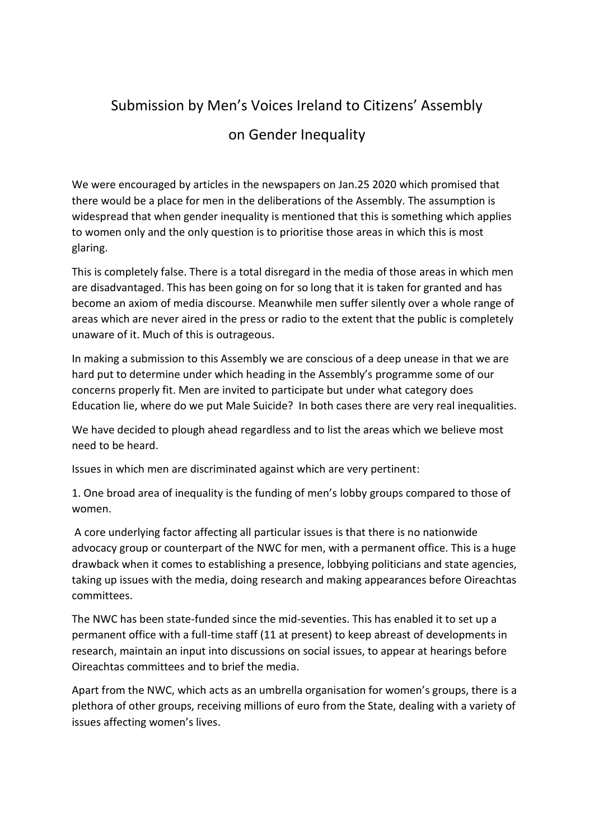## Submission by Men's Voices Ireland to Citizens' Assembly

## on Gender Inequality

We were encouraged by articles in the newspapers on Jan.25 2020 which promised that there would be a place for men in the deliberations of the Assembly. The assumption is widespread that when gender inequality is mentioned that this is something which applies to women only and the only question is to prioritise those areas in which this is most glaring.

This is completely false. There is a total disregard in the media of those areas in which men are disadvantaged. This has been going on for so long that it is taken for granted and has become an axiom of media discourse. Meanwhile men suffer silently over a whole range of areas which are never aired in the press or radio to the extent that the public is completely unaware of it. Much of this is outrageous.

In making a submission to this Assembly we are conscious of a deep unease in that we are hard put to determine under which heading in the Assembly's programme some of our concerns properly fit. Men are invited to participate but under what category does Education lie, where do we put Male Suicide? In both cases there are very real inequalities.

We have decided to plough ahead regardless and to list the areas which we believe most need to be heard.

Issues in which men are discriminated against which are very pertinent:

1. One broad area of inequality is the funding of men's lobby groups compared to those of women.

A core underlying factor affecting all particular issues is that there is no nationwide advocacy group or counterpart of the NWC for men, with a permanent office. This is a huge drawback when it comes to establishing a presence, lobbying politicians and state agencies, taking up issues with the media, doing research and making appearances before Oireachtas committees.

The NWC has been state-funded since the mid-seventies. This has enabled it to set up a permanent office with a full-time staff (11 at present) to keep abreast of developments in research, maintain an input into discussions on social issues, to appear at hearings before Oireachtas committees and to brief the media.

Apart from the NWC, which acts as an umbrella organisation for women's groups, there is a plethora of other groups, receiving millions of euro from the State, dealing with a variety of issues affecting women's lives.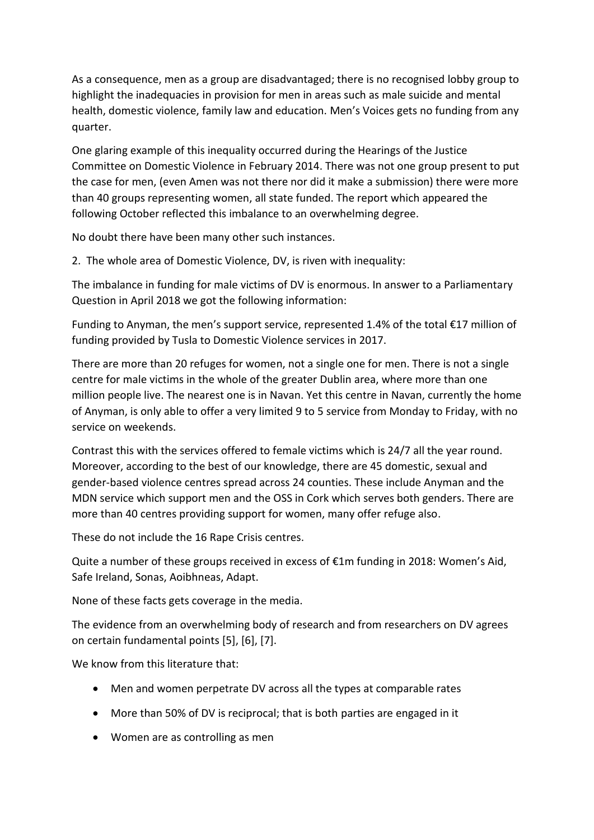As a consequence, men as a group are disadvantaged; there is no recognised lobby group to highlight the inadequacies in provision for men in areas such as male suicide and mental health, domestic violence, family law and education. Men's Voices gets no funding from any quarter.

One glaring example of this inequality occurred during the Hearings of the Justice Committee on Domestic Violence in February 2014. There was not one group present to put the case for men, (even Amen was not there nor did it make a submission) there were more than 40 groups representing women, all state funded. The report which appeared the following October reflected this imbalance to an overwhelming degree.

No doubt there have been many other such instances.

2. The whole area of Domestic Violence, DV, is riven with inequality:

The imbalance in funding for male victims of DV is enormous. In answer to a Parliamentary Question in April 2018 we got the following information:

Funding to Anyman, the men's support service, represented 1.4% of the total  $\epsilon$ 17 million of funding provided by Tusla to Domestic Violence services in 2017.

There are more than 20 refuges for women, not a single one for men. There is not a single centre for male victims in the whole of the greater Dublin area, where more than one million people live. The nearest one is in Navan. Yet this centre in Navan, currently the home of Anyman, is only able to offer a very limited 9 to 5 service from Monday to Friday, with no service on weekends.

Contrast this with the services offered to female victims which is 24/7 all the year round. Moreover, according to the best of our knowledge, there are 45 domestic, sexual and gender-based violence centres spread across 24 counties. These include Anyman and the MDN service which support men and the OSS in Cork which serves both genders. There are more than 40 centres providing support for women, many offer refuge also.

These do not include the 16 Rape Crisis centres.

Quite a number of these groups received in excess of €1m funding in 2018: Women's Aid, Safe Ireland, Sonas, Aoibhneas, Adapt.

None of these facts gets coverage in the media.

The evidence from an overwhelming body of research and from researchers on DV agrees on certain fundamental points [5], [6], [7].

We know from this literature that:

- Men and women perpetrate DV across all the types at comparable rates
- More than 50% of DV is reciprocal; that is both parties are engaged in it
- Women are as controlling as men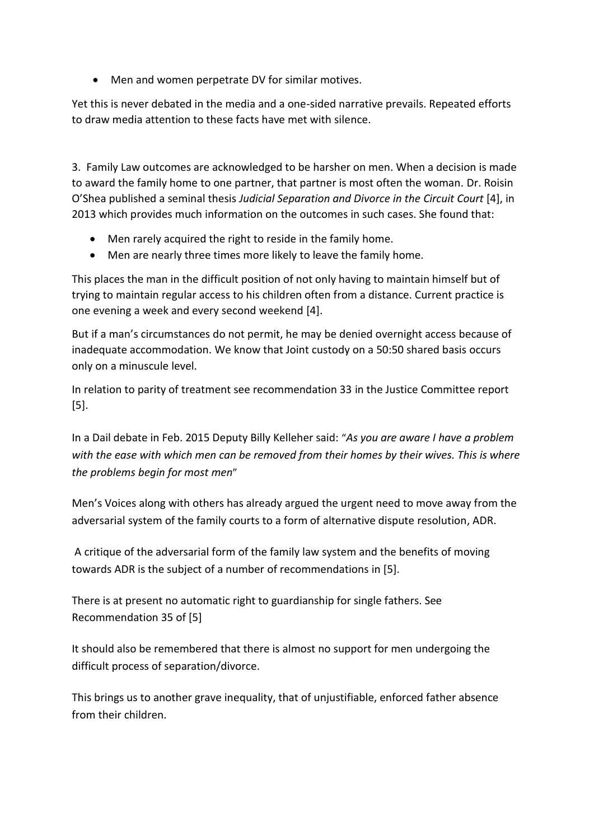• Men and women perpetrate DV for similar motives.

Yet this is never debated in the media and a one-sided narrative prevails. Repeated efforts to draw media attention to these facts have met with silence.

3. Family Law outcomes are acknowledged to be harsher on men. When a decision is made to award the family home to one partner, that partner is most often the woman. Dr. Roisin O'Shea published a seminal thesis *Judicial Separation and Divorce in the Circuit Court* [4], in 2013 which provides much information on the outcomes in such cases. She found that:

- Men rarely acquired the right to reside in the family home.
- Men are nearly three times more likely to leave the family home.

This places the man in the difficult position of not only having to maintain himself but of trying to maintain regular access to his children often from a distance. Current practice is one evening a week and every second weekend [4].

But if a man's circumstances do not permit, he may be denied overnight access because of inadequate accommodation. We know that Joint custody on a 50:50 shared basis occurs only on a minuscule level.

In relation to parity of treatment see recommendation 33 in the Justice Committee report [5].

In a Dail debate in Feb. 2015 Deputy Billy Kelleher said: "*As you are aware I have a problem with the ease with which men can be removed from their homes by their wives. This is where the problems begin for most men*"

Men's Voices along with others has already argued the urgent need to move away from the adversarial system of the family courts to a form of alternative dispute resolution, ADR.

A critique of the adversarial form of the family law system and the benefits of moving towards ADR is the subject of a number of recommendations in [5].

There is at present no automatic right to guardianship for single fathers. See Recommendation 35 of [5]

It should also be remembered that there is almost no support for men undergoing the difficult process of separation/divorce.

This brings us to another grave inequality, that of unjustifiable, enforced father absence from their children.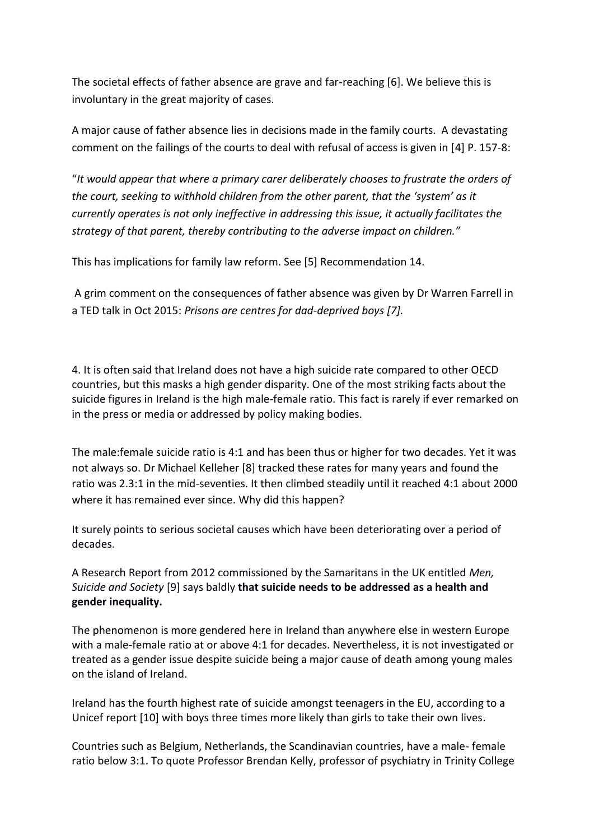The societal effects of father absence are grave and far-reaching [6]. We believe this is involuntary in the great majority of cases.

A major cause of father absence lies in decisions made in the family courts. A devastating comment on the failings of the courts to deal with refusal of access is given in [4] P. 157-8:

"*It would appear that where a primary carer deliberately chooses to frustrate the orders of the court, seeking to withhold children from the other parent, that the 'system' as it currently operates is not only ineffective in addressing this issue, it actually facilitates the strategy of that parent, thereby contributing to the adverse impact on children."*

This has implications for family law reform. See [5] Recommendation 14.

A grim comment on the consequences of father absence was given by Dr Warren Farrell in a TED talk in Oct 2015: *Prisons are centres for dad-deprived boys [7].*

4. It is often said that Ireland does not have a high suicide rate compared to other OECD countries, but this masks a high gender disparity. One of the most striking facts about the suicide figures in Ireland is the high male-female ratio. This fact is rarely if ever remarked on in the press or media or addressed by policy making bodies.

The male:female suicide ratio is 4:1 and has been thus or higher for two decades. Yet it was not always so. Dr Michael Kelleher [8] tracked these rates for many years and found the ratio was 2.3:1 in the mid-seventies. It then climbed steadily until it reached 4:1 about 2000 where it has remained ever since. Why did this happen?

It surely points to serious societal causes which have been deteriorating over a period of decades.

A Research Report from 2012 commissioned by the Samaritans in the UK entitled *Men, Suicide and Society* [9] says baldly **that suicide needs to be addressed as a health and gender inequality.** 

The phenomenon is more gendered here in Ireland than anywhere else in western Europe with a male-female ratio at or above 4:1 for decades. Nevertheless, it is not investigated or treated as a gender issue despite suicide being a major cause of death among young males on the island of Ireland.

Ireland has the fourth highest rate of suicide amongst teenagers in the EU, according to a Unicef report [10] with boys three times more likely than girls to take their own lives.

Countries such as Belgium, Netherlands, the Scandinavian countries, have a male- female ratio below 3:1. To quote Professor Brendan Kelly, professor of psychiatry in Trinity College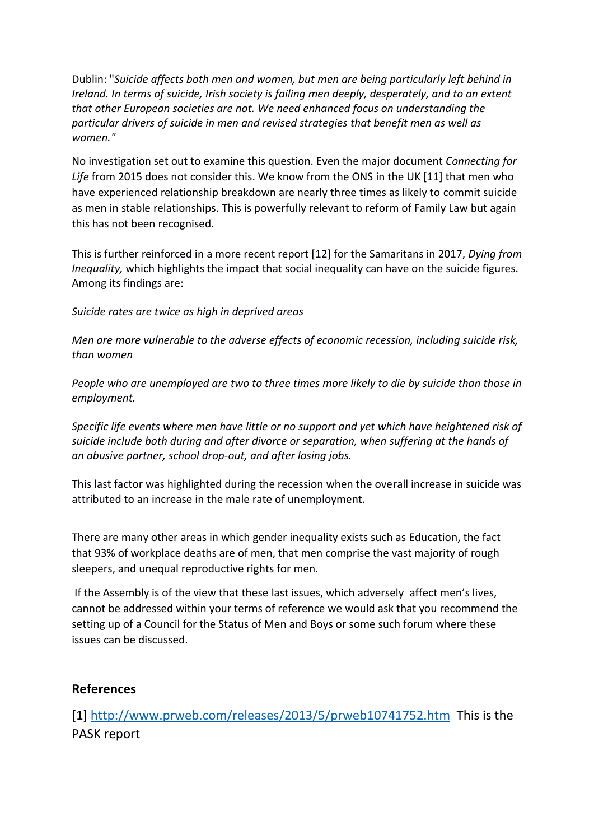Dublin: "*Suicide affects both men and women, but men are being particularly left behind in Ireland. In terms of suicide, Irish society is failing men deeply, desperately, and to an extent that other European societies are not. We need enhanced focus on understanding the particular drivers of suicide in men and revised strategies that benefit men as well as women."* 

No investigation set out to examine this question. Even the major document *Connecting for Life* from 2015 does not consider this. We know from the ONS in the UK [11] that men who have experienced relationship breakdown are nearly three times as likely to commit suicide as men in stable relationships. This is powerfully relevant to reform of Family Law but again this has not been recognised.

This is further reinforced in a more recent report [12] for the Samaritans in 2017, *Dying from Inequality,* which highlights the impact that social inequality can have on the suicide figures. Among its findings are:

*Suicide rates are twice as high in deprived areas*

*Men are more vulnerable to the adverse effects of economic recession, including suicide risk, than women*

*People who are unemployed are two to three times more likely to die by suicide than those in employment.* 

*Specific life events where men have little or no support and yet which have heightened risk of suicide include both during and after divorce or separation, when suffering at the hands of an abusive partner, school drop-out, and after losing jobs.* 

This last factor was highlighted during the recession when the overall increase in suicide was attributed to an increase in the male rate of unemployment.

There are many other areas in which gender inequality exists such as Education, the fact that 93% of workplace deaths are of men, that men comprise the vast majority of rough sleepers, and unequal reproductive rights for men.

If the Assembly is of the view that these last issues, which adversely affect men's lives, cannot be addressed within your terms of reference we would ask that you recommend the setting up of a Council for the Status of Men and Boys or some such forum where these issues can be discussed.

## **References**

[1]<http://www.prweb.com/releases/2013/5/prweb10741752.htm>This is the PASK report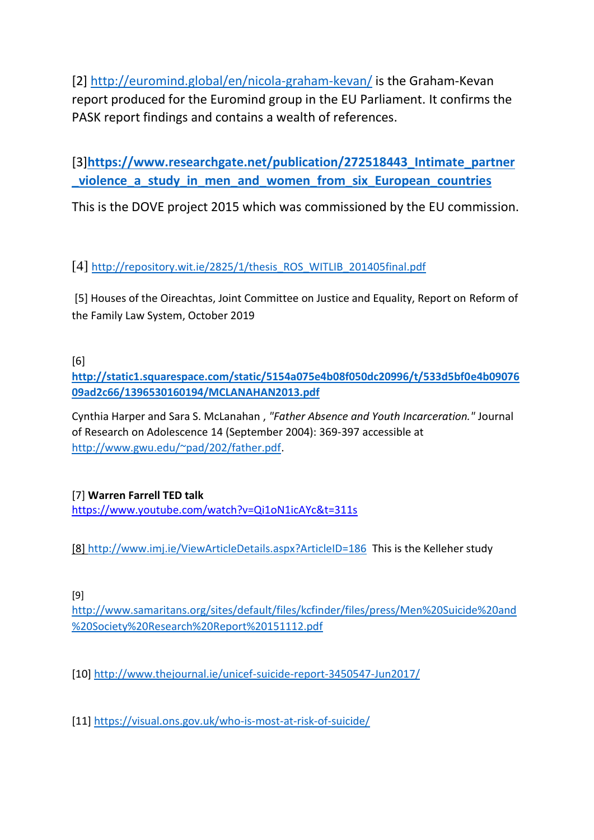[2]<http://euromind.global/en/nicola-graham-kevan/> is the Graham-Kevan report produced for the Euromind group in the EU Parliament. It confirms the PASK report findings and contains a wealth of references.

[3]**[https://www.researchgate.net/publication/272518443\\_Intimate\\_partner](https://www.researchgate.net/publication/272518443_Intimate_partner_violence_a_study_in_men_and_women_from_six_European_countries) [\\_violence\\_a\\_study\\_in\\_men\\_and\\_women\\_from\\_six\\_European\\_countries](https://www.researchgate.net/publication/272518443_Intimate_partner_violence_a_study_in_men_and_women_from_six_European_countries)**

This is the DOVE project 2015 which was commissioned by the EU commission.

[4] [http://repository.wit.ie/2825/1/thesis\\_ROS\\_WITLIB\\_201405final.pdf](http://repository.wit.ie/2825/1/thesis_ROS_WITLIB_201405final.pdf)

[5] Houses of the Oireachtas, Joint Committee on Justice and Equality, Report on Reform of the Family Law System, October 2019

[6]

**[http://static1.squarespace.com/static/5154a075e4b08f050dc20996/t/533d5bf0e4b09076](http://static1.squarespace.com/static/5154a075e4b08f050dc20996/t/533d5bf0e4b0907609ad2c66/1396530160194/MCLANAHAN2013.pdf) [09ad2c66/1396530160194/MCLANAHAN2013.pdf](http://static1.squarespace.com/static/5154a075e4b08f050dc20996/t/533d5bf0e4b0907609ad2c66/1396530160194/MCLANAHAN2013.pdf)**

Cynthia Harper and Sara S. McLanahan , *"Father Absence and Youth Incarceration."* Journal of Research on Adolescence 14 (September 2004): 369-397 accessible at [http://www.gwu.edu/~pad/202/father.pdf.](http://www.gwu.edu/~pad/202/father.pdf)

[7] **Warren Farrell TED talk** <https://www.youtube.com/watch?v=Qi1oN1icAYc&t=311s>

[8]<http://www.imj.ie/ViewArticleDetails.aspx?ArticleID=186>This is the Kelleher study

[9]

[http://www.samaritans.org/sites/default/files/kcfinder/files/press/Men%20Suicide%20and](http://www.samaritans.org/sites/default/files/kcfinder/files/press/Men%20Suicide%20and%20Society%20Research%20Report%20151112.pdf) [%20Society%20Research%20Report%20151112.pdf](http://www.samaritans.org/sites/default/files/kcfinder/files/press/Men%20Suicide%20and%20Society%20Research%20Report%20151112.pdf)

[10]<http://www.thejournal.ie/unicef-suicide-report-3450547-Jun2017/>

[11]<https://visual.ons.gov.uk/who-is-most-at-risk-of-suicide/>